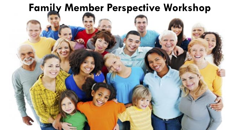## **Family Member Perspective Workshop**

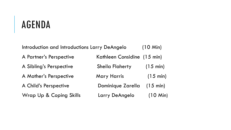Introduction and Introductions Larry DeAngelo (10 Min) A Partner's Perspective Kathleen Considine (15 min) A Sibling's Perspective Sheila Flaherty (15 min) A Mother's Perspective Mary Harris (15 min) A Child's Perspective Dominique Zarella (15 min) Wrap Up & Coping Skills Larry DeAngelo (10 Min)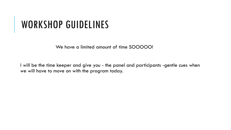# WORKSHOP GUIDELINES

We have a limited amount of time SOOOOO!

I will be the time keeper and give you - the panel and participants -gentle cues when we will have to move on with the program today.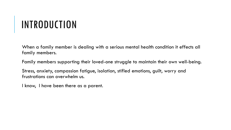# INTRODUCTION

When a family member is dealing with a serious mental health condition it effects all family members.

Family members supporting their loved-one struggle to maintain their own well-being.

Stress, anxiety, compassion fatigue, isolation, stifled emotions, guilt, worry and frustrations can overwhelm us.

I know, I have been there as a parent.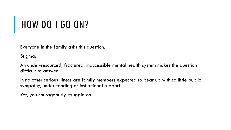# HOW DO I GO ON?

Everyone in the family asks this question.

Stigma;

An under-resourced, fractured, inaccessible mental health system makes the question difficult to answer.

In no other serious illness are family members expected to bear up with so little public sympathy, understanding or institutional support.

Yet, you courageously struggle on.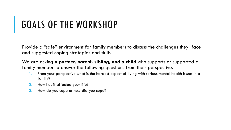# GOALS OF THE WORKSHOP

Provide a "safe" environment for family members to discuss the challenges they face and suggested coping strategies and skills.

We are asking **a partner, parent, sibling, and a child** who supports or supported a family member to answer the following questions from their perspective.

- 1. From your perspective what is the hardest aspect of living with serious mental health issues in a family?
- 2. How has it affected your life?
- 3. How do you cope or how did you cope?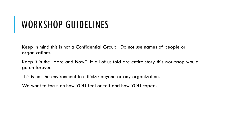# WORKSHOP GUIDELINES

Keep in mind this is not a Confidential Group. Do not use names of people or organizations.

Keep it in the "Here and Now." If all of us told are entire story this workshop would go on forever.

This is not the environment to criticize anyone or any organization.

We want to focus on how YOU feel or felt and how YOU coped.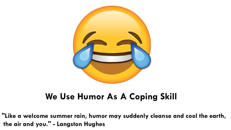

## **We Use Humor As A Coping Skill**

**"Like a welcome summer rain, humor may suddenly cleanse and cool the earth, the air and you." - Langston Hughes**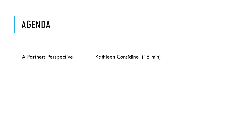A Partners Perspective Kathleen Considine (15 min)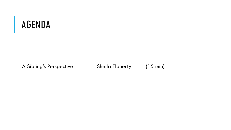A Sibling's Perspective Sheila Flaherty (15 min)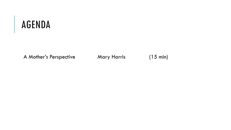A Mother's Perspective Mary Harris (15 min)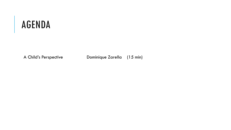A Child's Perspective Dominique Zarella (15 min)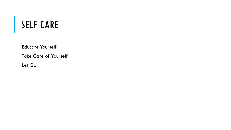Educate Yourself

Take Care of Yourself

Let Go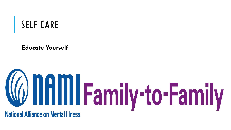**Educate Yourself**

# **Confirm Family-to-Family National Alliance on Mental Illness**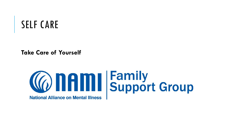**Take Care of Yourself**

# **Connaming Family<br>Support Group**

**National Alliance on Mental Illness**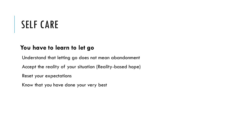### **You have to learn to let go**

Understand that letting go does not mean abandonment

Accept the reality of your situation (Reality-based hope)

Reset your expectations

Know that you have done your very best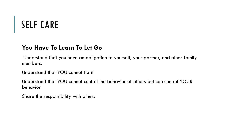### **You Have To Learn To Let Go**

Understand that you have an obligation to yourself, your partner, and other family members.

Understand that YOU cannot fix it

Understand that YOU cannot control the behavior of others but can control YOUR behavior

Share the responsibility with others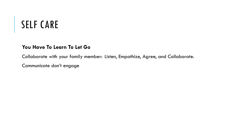#### **You Have To Learn To Let Go**

Collaborate with your family member: Listen, Empathize, Agree, and Collaborate.

Communicate don't engage